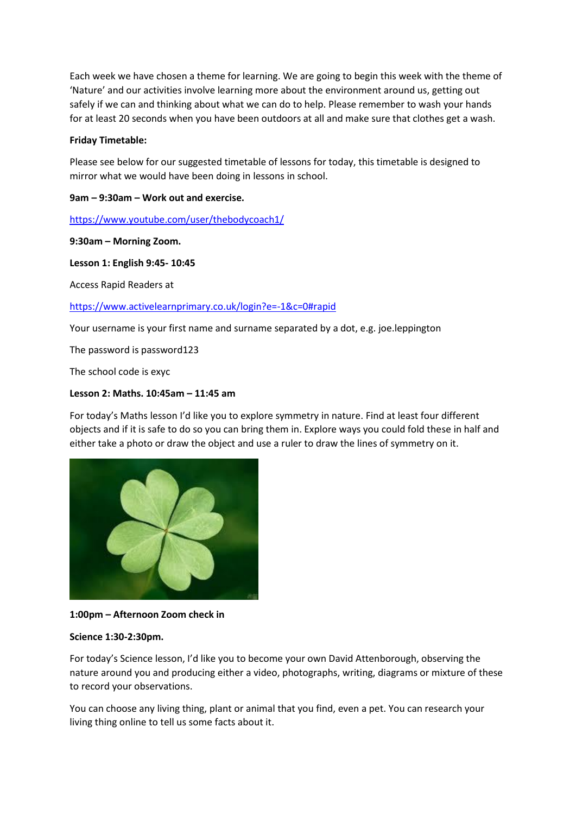Each week we have chosen a theme for learning. We are going to begin this week with the theme of 'Nature' and our activities involve learning more about the environment around us, getting out safely if we can and thinking about what we can do to help. Please remember to wash your hands for at least 20 seconds when you have been outdoors at all and make sure that clothes get a wash.

### **Friday Timetable:**

Please see below for our suggested timetable of lessons for today, this timetable is designed to mirror what we would have been doing in lessons in school.

# **9am – 9:30am – Work out and exercise.**

<https://www.youtube.com/user/thebodycoach1/>

### **9:30am – Morning Zoom.**

### **Lesson 1: English 9:45- 10:45**

Access Rapid Readers at

<https://www.activelearnprimary.co.uk/login?e=-1&c=0#rapid>

Your username is your first name and surname separated by a dot, e.g. joe.leppington

The password is password123

The school code is exyc

## **Lesson 2: Maths. 10:45am – 11:45 am**

For today's Maths lesson I'd like you to explore symmetry in nature. Find at least four different objects and if it is safe to do so you can bring them in. Explore ways you could fold these in half and either take a photo or draw the object and use a ruler to draw the lines of symmetry on it.



### **1:00pm – Afternoon Zoom check in**

### **Science 1:30-2:30pm.**

For today's Science lesson, I'd like you to become your own David Attenborough, observing the nature around you and producing either a video, photographs, writing, diagrams or mixture of these to record your observations.

You can choose any living thing, plant or animal that you find, even a pet. You can research your living thing online to tell us some facts about it.